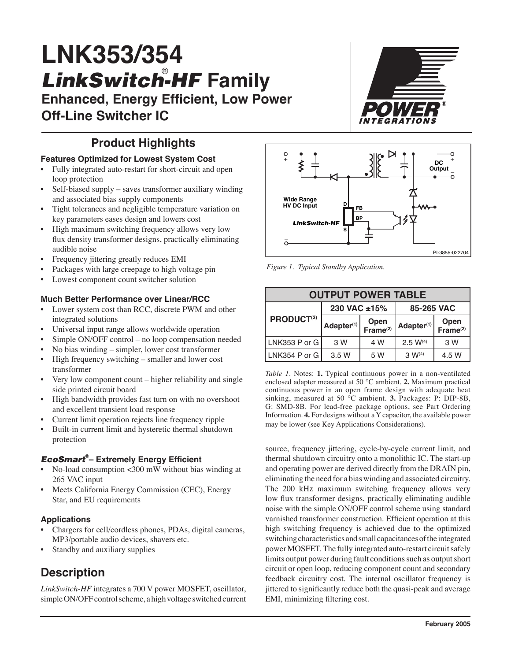# **LNK353/354** LinkSwitch-HF Family

**Enhanced, Energy Efficient, Low Power Off-Line Switcher IC**

# **Product Highlights**

#### **Features Optimized for Lowest System Cost**

- Fully integrated auto-restart for short-circuit and open loop protection
- Self-biased supply saves transformer auxiliary winding and associated bias supply components
- Tight tolerances and negligible temperature variation on key parameters eases design and lowers cost
- High maximum switching frequency allows very low flux density transformer designs, practically eliminating audible noise
- Frequency jittering greatly reduces EMI
- Packages with large creepage to high voltage pin
- Lowest component count switcher solution

#### **Much Better Performance over Linear/RCC**

- Lower system cost than RCC, discrete PWM and other integrated solutions
- Universal input range allows worldwide operation
- Simple ON/OFF control no loop compensation needed
- No bias winding simpler, lower cost transformer
- High frequency switching smaller and lower cost transformer
- Very low component count higher reliability and single side printed circuit board
- High bandwidth provides fast turn on with no overshoot and excellent transient load response
- Current limit operation rejects line frequency ripple
- Built-in current limit and hysteretic thermal shutdown protection

#### EcoSmart **® – Extremely Energy Efficient**

- No-load consumption <300 mW without bias winding at 265 VAC input
- Meets California Energy Commission (CEC), Energy Star, and EU requirements

#### **Applications**

- Chargers for cell/cordless phones, PDAs, digital cameras, MP3/portable audio devices, shavers etc.
- Standby and auxiliary supplies

# **Description**

*LinkSwitch-HF* integrates a 700 V power MOSFET, oscillator, simple ON/OFF control scheme, a high voltage switched current





*Figure 1. Typical Standby Application.* 

| <b>OUTPUT POWER TABLE</b> |                            |                              |                        |                              |  |  |  |
|---------------------------|----------------------------|------------------------------|------------------------|------------------------------|--|--|--|
|                           | 230 VAC ±15%<br>85-265 VAC |                              |                        |                              |  |  |  |
| PRODUCT <sup>(3)</sup>    | Adapter <sup>(1)</sup>     | Open<br>Frame <sup>(2)</sup> | Adapter <sup>(1)</sup> | Open<br>Frame <sup>(2)</sup> |  |  |  |
| LNK353 P or G             | 3 W                        | 4 W                          | $2.5 W^{(4)}$          | 3 W                          |  |  |  |
| LNK354 P or G             | 3.5 W                      | 5 W                          | $3 W^{(4)}$            | 4.5 W                        |  |  |  |

*Table 1.* Notes: **1.** Typical continuous power in a non-ventilated enclosed adapter measured at 50 °C ambient. **2.** Maximum practical continuous power in an open frame design with adequate heat sinking, measured at 50 °C ambient. **3.** Packages: P: DIP-8B, G: SMD-8B. For lead-free package options, see Part Ordering Information. **4.** For designs without a Y capacitor, the available power may be lower (see Key Applications Considerations).

source, frequency jittering, cycle-by-cycle current limit, and thermal shutdown circuitry onto a monolithic IC. The start-up and operating power are derived directly from the DRAIN pin, eliminating the need for a bias winding and associated circuitry. The 200 kHz maximum switching frequency allows very low flux transformer designs, practically eliminating audible noise with the simple ON/OFF control scheme using standard varnished transformer construction. Efficient operation at this high switching frequency is achieved due to the optimized switching characteristics and small capacitances of the integrated power MOSFET. The fully integrated auto-restart circuit safely limits output power during fault conditions such as output short circuit or open loop, reducing component count and secondary feedback circuitry cost. The internal oscillator frequency is jittered to significantly reduce both the quasi-peak and average EMI, minimizing filtering cost.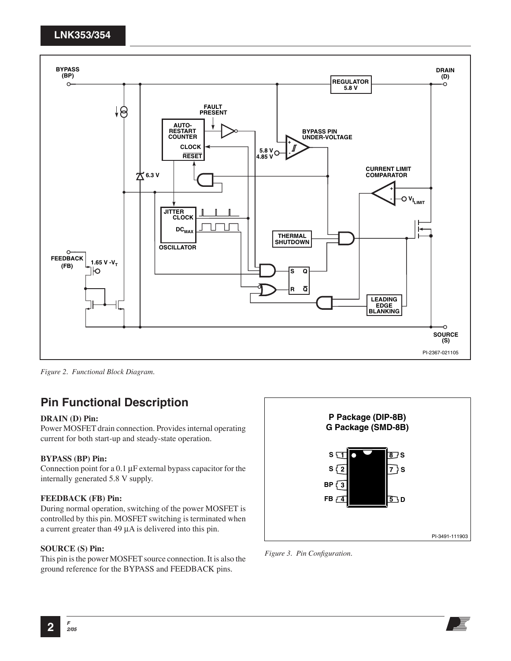

*Figure 2. Functional Block Diagram.* 

## **Pin Functional Description**

#### **DRAIN (D) Pin:**

Power MOSFET drain connection. Provides internal operating current for both start-up and steady-state operation.

#### **BYPASS (BP) Pin:**

Connection point for a 0.1 µF external bypass capacitor for the internally generated 5.8 V supply.

#### **FEEDBACK (FB) Pin:**

During normal operation, switching of the power MOSFET is controlled by this pin. MOSFET switching is terminated when a current greater than 49 µA is delivered into this pin.

#### **SOURCE (S) Pin:**

This pin is the power MOSFET source connection. It is also the ground reference for the BYPASS and FEEDBACK pins.



*Figure 3. Pin Configuration.*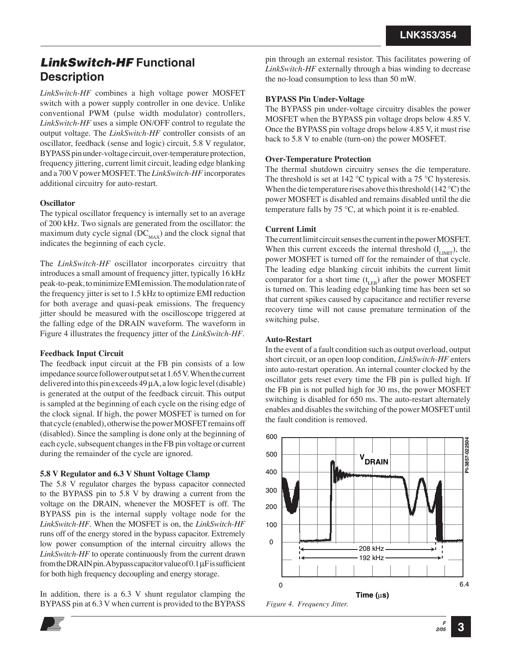## LinkSwitch-HF **Functional Description**

*LinkSwitch-HF* combines a high voltage power MOSFET switch with a power supply controller in one device. Unlike conventional PWM (pulse width modulator) controllers, *LinkSwitch-HF* uses a simple ON/OFF control to regulate the output voltage. The *LinkSwitch-HF* controller consists of an oscillator, feedback (sense and logic) circuit, 5.8 V regulator, BYPASS pin under-voltage circuit, over-temperature protection, frequency jittering, current limit circuit, leading edge blanking and a 700 V power MOSFET. The *LinkSwitch-HF* incorporates additional circuitry for auto-restart.

#### **Oscillator**

The typical oscillator frequency is internally set to an average of 200 kHz. Two signals are generated from the oscillator: the maximum duty cycle signal  $(DC_{MAX})$  and the clock signal that indicates the beginning of each cycle.

The *LinkSwitch-HF* oscillator incorporates circuitry that introduces a small amount of frequency jitter, typically 16 kHz peak-to-peak, to minimize EMI emission. The modulation rate of the frequency jitter is set to 1.5 kHz to optimize EMI reduction for both average and quasi-peak emissions. The frequency jitter should be measured with the oscilloscope triggered at the falling edge of the DRAIN waveform. The waveform in Figure 4 illustrates the frequency jitter of the *LinkSwitch-HF*.

#### **Feedback Input Circuit**

The feedback input circuit at the FB pin consists of a low impedance source follower output set at 1.65 V. When the current delivered into this pin exceeds  $49 \mu A$ , a low logic level (disable) is generated at the output of the feedback circuit. This output is sampled at the beginning of each cycle on the rising edge of the clock signal. If high, the power MOSFET is turned on for that cycle (enabled), otherwise the power MOSFET remains off (disabled). Since the sampling is done only at the beginning of each cycle, subsequent changes in the FB pin voltage or current during the remainder of the cycle are ignored.

#### **5.8 V Regulator and 6.3 V Shunt Voltage Clamp**

The 5.8 V regulator charges the bypass capacitor connected to the BYPASS pin to 5.8 V by drawing a current from the voltage on the DRAIN, whenever the MOSFET is off. The BYPASS pin is the internal supply voltage node for the *LinkSwitch-HF*. When the MOSFET is on, the *LinkSwitch-HF*  runs off of the energy stored in the bypass capacitor. Extremely low power consumption of the internal circuitry allows the *LinkSwitch-HF* to operate continuously from the current drawn from the DRAIN pin. A bypass capacitor value of 0.1 µF is sufficient for both high frequency decoupling and energy storage.

In addition, there is a 6.3 V shunt regulator clamping the BYPASS pin at 6.3 V when current is provided to the BYPASS

pin through an external resistor. This facilitates powering of *LinkSwitch-HF* externally through a bias winding to decrease the no-load consumption to less than 50 mW.

#### **BYPASS Pin Under-Voltage**

The BYPASS pin under-voltage circuitry disables the power MOSFET when the BYPASS pin voltage drops below 4.85 V. Once the BYPASS pin voltage drops below 4.85 V, it must rise back to 5.8 V to enable (turn-on) the power MOSFET.

#### **Over-Temperature Protection**

The thermal shutdown circuitry senses the die temperature. The threshold is set at 142  $\rm{^{\circ}C}$  typical with a 75  $\rm{^{\circ}C}$  hysteresis. When the die temperature rises above this threshold (142 °C) the power MOSFET is disabled and remains disabled until the die temperature falls by  $75 \,^{\circ}\text{C}$ , at which point it is re-enabled.

#### **Current Limit**

The current limit circuit senses the current in the power MOSFET. When this current exceeds the internal threshold  $(I_{LIMIT})$ , the power MOSFET is turned off for the remainder of that cycle. The leading edge blanking circuit inhibits the current limit comparator for a short time  $(t_{LR})$  after the power MOSFET is turned on. This leading edge blanking time has been set so that current spikes caused by capacitance and rectifier reverse recovery time will not cause premature termination of the switching pulse.

#### **Auto-Restart**

In the event of a fault condition such as output overload, output short circuit, or an open loop condition, *LinkSwitch-HF* enters into auto-restart operation. An internal counter clocked by the oscillator gets reset every time the FB pin is pulled high. If the FB pin is not pulled high for 30 ms, the power MOSFET switching is disabled for 650 ms. The auto-restart alternately enables and disables the switching of the power MOSFET until the fault condition is removed.



**F 2/05 3**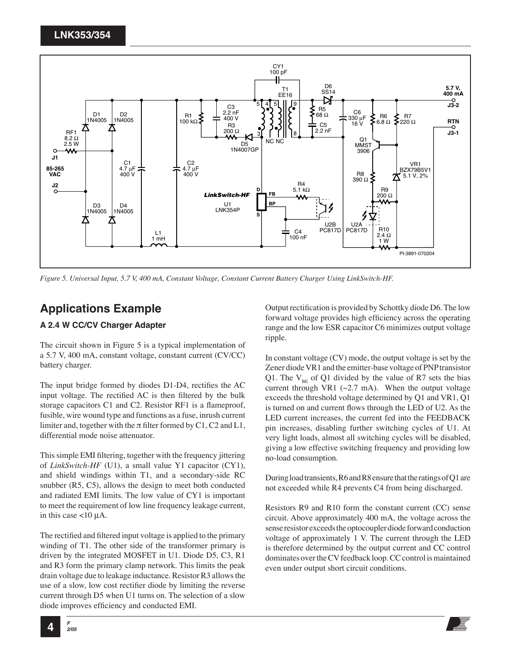

*Figure 5. Universal Input, 5.7 V, 400 mA, Constant Voltage, Constant Current Battery Charger Using LinkSwitch-HF.*

## **Applications Example**

#### **A 2.4 W CC/CV Charger Adapter**

The circuit shown in Figure 5 is a typical implementation of a 5.7 V, 400 mA, constant voltage, constant current (CV/CC) battery charger.

The input bridge formed by diodes D1-D4, rectifies the AC input voltage. The rectified AC is then filtered by the bulk storage capacitors C1 and C2. Resistor RF1 is a flameproof, fusible, wire wound type and functions as a fuse, inrush current limiter and, together with the  $\pi$  filter formed by C1, C2 and L1, differential mode noise attenuator.

This simple EMI filtering, together with the frequency jittering of *LinkSwitch-HF* (U1), a small value Y1 capacitor (CY1), and shield windings within T1, and a secondary-side RC snubber (R5, C5), allows the design to meet both conducted and radiated EMI limits. The low value of CY1 is important to meet the requirement of low line frequency leakage current, in this case  $\lt 10 \mu$ A.

The rectified and filtered input voltage is applied to the primary winding of T1. The other side of the transformer primary is driven by the integrated MOSFET in U1. Diode D5, C3, R1 and R3 form the primary clamp network. This limits the peak drain voltage due to leakage inductance. Resistor R3 allows the use of a slow, low cost rectifier diode by limiting the reverse current through D5 when U1 turns on. The selection of a slow diode improves efficiency and conducted EMI.

Output rectification is provided by Schottky diode D6. The low forward voltage provides high efficiency across the operating range and the low ESR capacitor C6 minimizes output voltage ripple.

In constant voltage (CV) mode, the output voltage is set by the Zener diode VR1 and the emitter-base voltage of PNP transistor Q1. The  $V_{\text{pc}}$  of Q1 divided by the value of R7 sets the bias current through VR1 ( $\sim$ 2.7 mA). When the output voltage exceeds the threshold voltage determined by Q1 and VR1, Q1 is turned on and current flows through the LED of U2. As the LED current increases, the current fed into the FEEDBACK pin increases, disabling further switching cycles of U1. At very light loads, almost all switching cycles will be disabled, giving a low effective switching frequency and providing low no-load consumption.

During load transients, R6 and R8 ensure that the ratings of Q1 are not exceeded while R4 prevents C4 from being discharged.

Resistors R9 and R10 form the constant current (CC) sense circuit. Above approximately 400 mA, the voltage across the sense resistor exceeds the optocoupler diode forward conduction voltage of approximately 1 V. The current through the LED is therefore determined by the output current and CC control dominates over the CV feedback loop. CC control is maintained even under output short circuit conditions.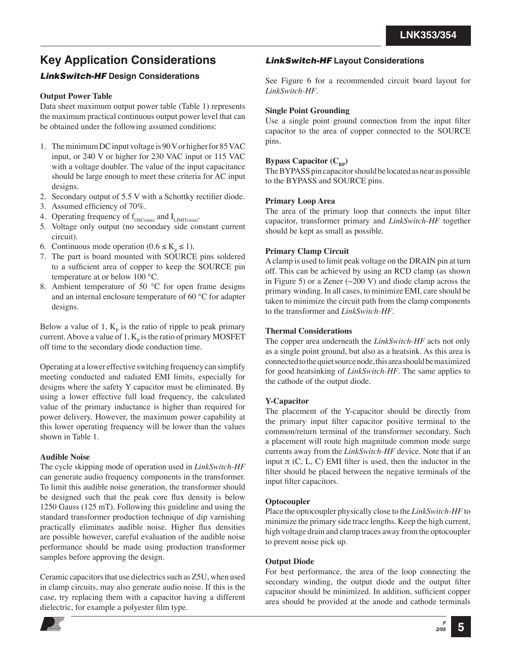# **Key Application Considerations**

#### LinkSwitch-HF **Design Considerations**

#### **Output Power Table**

Data sheet maximum output power table (Table 1) represents the maximum practical continuous output power level that can be obtained under the following assumed conditions:

- 1. The minimum DC input voltage is 90 V or higher for 85 VAC input, or 240 V or higher for 230 VAC input or 115 VAC with a voltage doubler. The value of the input capacitance should be large enough to meet these criteria for AC input designs.
- 2. Secondary output of 5.5 V with a Schottky rectifier diode.
- 3. Assumed efficiency of 70%.
- 4. Operating frequency of  $f_{\rm OSC(min)}$  and  $I_{\rm LIMIT(min)}$
- 5. Voltage only output (no secondary side constant current circuit).
- 6. Continuous mode operation ( $0.6 \le K_p \le 1$ ).
- 7. The part is board mounted with SOURCE pins soldered to a sufficient area of copper to keep the SOURCE pin temperature at or below 100 °C.
- 8. Ambient temperature of 50 °C for open frame designs and an internal enclosure temperature of 60 °C for adapter designs.

Below a value of 1,  $K_{p}$  is the ratio of ripple to peak primary current. Above a value of  $1, K_p$  is the ratio of primary MOSFET off time to the secondary diode conduction time.

Operating at a lower effective switching frequency can simplify meeting conducted and radiated EMI limits, especially for designs where the safety Y capacitor must be eliminated. By using a lower effective full load frequency, the calculated value of the primary inductance is higher than required for power delivery. However, the maximum power capability at this lower operating frequency will be lower than the values shown in Table 1.

#### **Audible Noise**

The cycle skipping mode of operation used in *LinkSwitch-HF*  can generate audio frequency components in the transformer. To limit this audible noise generation, the transformer should be designed such that the peak core flux density is below 1250 Gauss (125 mT). Following this guideline and using the standard transformer production technique of dip varnishing practically eliminates audible noise. Higher flux densities are possible however, careful evaluation of the audible noise performance should be made using production transformer samples before approving the design.

Ceramic capacitors that use dielectrics such as Z5U, when used in clamp circuits, may also generate audio noise. If this is the case, try replacing them with a capacitor having a different dielectric, for example a polyester film type.

#### LinkSwitch-HF **Layout Considerations**

See Figure 6 for a recommended circuit board layout for *LinkSwitch-HF*.

#### **Single Point Grounding**

Use a single point ground connection from the input filter capacitor to the area of copper connected to the SOURCE pins.

#### **Bypass Capacitor (C<sub>BP</sub>)**

The BYPASS pin capacitor should be located as near as possible to the BYPASS and SOURCE pins.

#### **Primary Loop Area**

The area of the primary loop that connects the input filter capacitor, transformer primary and *LinkSwitch-HF* together should be kept as small as possible.

#### **Primary Clamp Circuit**

A clamp is used to limit peak voltage on the DRAIN pin at turn off. This can be achieved by using an RCD clamp (as shown in Figure 5) or a Zener  $(\sim 200 \text{ V})$  and diode clamp across the primary winding. In all cases, to minimize EMI, care should be taken to minimize the circuit path from the clamp components to the transformer and *LinkSwitch-HF*.

#### **Thermal Considerations**

The copper area underneath the *LinkSwitch-HF* acts not only as a single point ground, but also as a heatsink. As this area is connected to the quiet source node, this area should be maximized for good heatsinking of *LinkSwitch-HF*. The same applies to the cathode of the output diode.

#### **Y-Capacitor**

The placement of the Y-capacitor should be directly from the primary input filter capacitor positive terminal to the common/return terminal of the transformer secondary. Such a placement will route high magnitude common mode surge currents away from the *LinkSwitch-HF* device. Note that if an input  $\pi$  (C, L, C) EMI filter is used, then the inductor in the filter should be placed between the negative terminals of the input filter capacitors.

#### **Optocoupler**

Place the optocoupler physically close to the *LinkSwitch-HF* to minimize the primary side trace lengths. Keep the high current, high voltage drain and clamp traces away from the optocoupler to prevent noise pick up.

#### **Output Diode**

For best performance, the area of the loop connecting the secondary winding, the output diode and the output filter capacitor should be minimized. In addition, sufficient copper area should be provided at the anode and cathode terminals

> **F 2/05 5**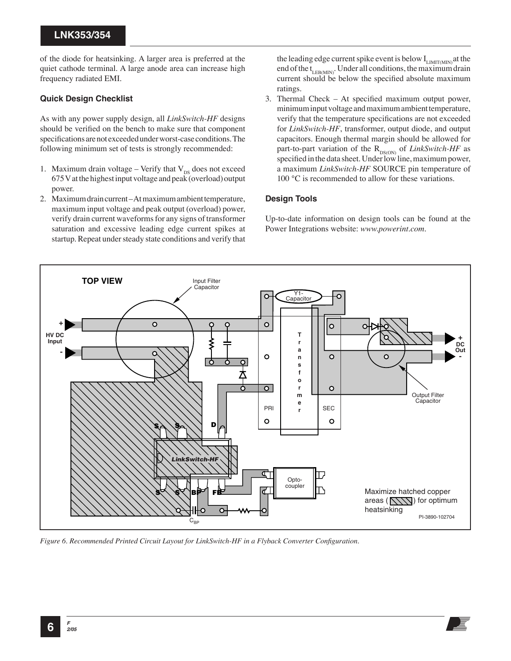of the diode for heatsinking. A larger area is preferred at the quiet cathode terminal. A large anode area can increase high frequency radiated EMI.

#### **Quick Design Checklist**

As with any power supply design, all *LinkSwitch-HF* designs should be verified on the bench to make sure that component specifications are not exceeded under worst-case conditions. The following minimum set of tests is strongly recommended:

- 1. Maximum drain voltage Verify that  $V_{DS}$  does not exceed 675 V at the highest input voltage and peak (overload) output power.
- 2. Maximum drain current At maximum ambient temperature, maximum input voltage and peak output (overload) power, verify drain current waveforms for any signs of transformer saturation and excessive leading edge current spikes at startup. Repeat under steady state conditions and verify that

the leading edge current spike event is below  $I_{LIMIT(MIN)}$  at the end of the  $t_{LEROMN}$ . Under all conditions, the maximum drain current should be below the specified absolute maximum ratings.

3. Thermal Check – At specified maximum output power, minimum input voltage and maximum ambient temperature, verify that the temperature specifications are not exceeded for *LinkSwitch-HF*, transformer, output diode, and output capacitors. Enough thermal margin should be allowed for part-to-part variation of the  $R_{DS(ON)}$  of *LinkSwitch-HF* as specified in the data sheet. Under low line, maximum power, a maximum *LinkSwitch-HF* SOURCE pin temperature of 100 °C is recommended to allow for these variations.

#### **Design Tools**

Up-to-date information on design tools can be found at the Power Integrations website: *www.powerint.com.*



*Figure 6. Recommended Printed Circuit Layout for LinkSwitch-HF in a Flyback Converter Configuration.*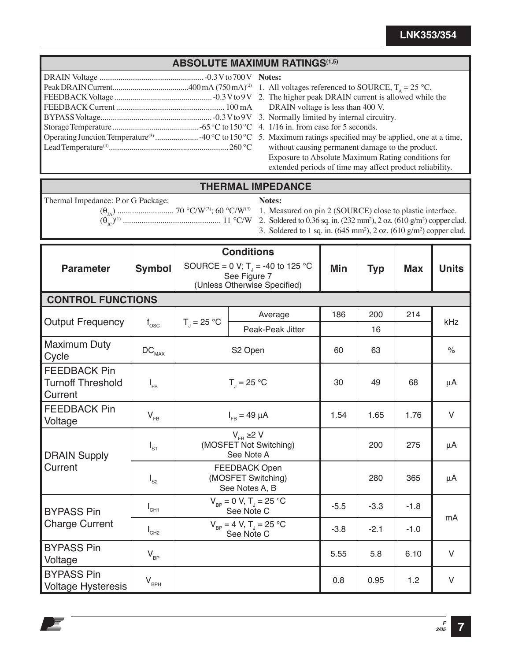### **ABSOLUTE MAXIMUM RATINGS(1,5)**

- **Notes:**
- 1. All voltages referenced to SOURCE,  $T_A = 25 \text{ °C}$ .
- 2. The higher peak DRAIN current is allowed while the DRAIN voltage is less than 400 V.
- 3. Normally limited by internal circuitry.
- 4. 1/16 in. from case for 5 seconds.
- 5. Maximum ratings specified may be applied, one at a time, without causing permanent damage to the product. Exposure to Absolute Maximum Rating conditions for extended periods of time may affect product reliability.

#### **THERMAL IMPEDANCE**

Thermal Impedance: P or G Package:

**Notes:**

(θJA) ........................... 70 °C/W(2); 60 °C/W(3) (θJC)(1) ............................................... 11 °C/W

1. Measured on pin 2 (SOURCE) close to plastic interface.

- 2. Soldered to  $0.36$  sq. in.  $(232 \text{ mm}^2)$ ,  $2$  oz.  $(610 \text{ g/m}^2)$  copper clad.
- 3. Soldered to 1 sq. in.  $(645 \text{ mm}^2)$ , 2 oz.  $(610 \text{ g/m}^2)$  copper clad.

| <b>Parameter</b>                                                                            | <b>Symbol</b>              | <b>Conditions</b><br>SOURCE = 0 V; T <sub>1</sub> = -40 to 125 °C<br>See Figure 7<br>(Unless Otherwise Specified) | Min              | <b>Typ</b> | <b>Max</b> | <b>Units</b> |                      |  |
|---------------------------------------------------------------------------------------------|----------------------------|-------------------------------------------------------------------------------------------------------------------|------------------|------------|------------|--------------|----------------------|--|
| <b>CONTROL FUNCTIONS</b>                                                                    |                            |                                                                                                                   |                  |            |            |              |                      |  |
|                                                                                             |                            |                                                                                                                   | Average          | 186        | 200        | 214          |                      |  |
| <b>Output Frequency</b>                                                                     | $f_{\rm osc}$              | $T_{\parallel}$ = 25 °C                                                                                           | Peak-Peak Jitter |            | 16         |              | kHz                  |  |
| <b>Maximum Duty</b><br>Cycle                                                                | $\mathtt{DC}_{\text{MAX}}$ | S2 Open                                                                                                           |                  | 60         | 63         |              | $\frac{1}{\sqrt{2}}$ |  |
| <b>FEEDBACK Pin</b><br><b>Turnoff Threshold</b><br>Current                                  | $I_{FB}$                   | $T_{\parallel}$ = 25 °C                                                                                           |                  | 30         | 49         | 68           | μA                   |  |
| <b>FEEDBACK Pin</b><br>Voltage                                                              | $V_{FB}$                   | $I_{FB} = 49 \mu A$                                                                                               | 1.54             | 1.65       | 1.76       | $\vee$       |                      |  |
| $V_{FB} \ge 2 V$<br>(MOSFET Not Switching)<br>$I_{S1}$<br>See Note A<br><b>DRAIN Supply</b> |                            |                                                                                                                   | 200              | 275        | $\mu$ A    |              |                      |  |
| Current                                                                                     | $I_{S2}$                   | <b>FEEDBACK Open</b><br>(MOSFET Switching)<br>See Notes A, B                                                      |                  |            | 280        | 365          | μA                   |  |
| <b>BYPASS Pin</b>                                                                           | $I_{CH1}$                  | $V_{\text{BP}} = 0 \text{ V}, T_{\text{J}} = 25 \text{ °C}$<br>See Note C                                         |                  | $-5.5$     | $-3.3$     | $-1.8$       | mA                   |  |
| <b>Charge Current</b>                                                                       | $I_{CH2}$                  | $V_{\text{BP}} = 4 \text{ V}, T_{\text{J}} = 25 \text{ °C}$<br>See Note C                                         |                  | $-3.8$     | $-2.1$     | $-1.0$       |                      |  |
| <b>BYPASS Pin</b><br>Voltage                                                                | $V_{BP}$                   |                                                                                                                   |                  | 5.55       | 5.8        | 6.10         | $\vee$               |  |
| <b>BYPASS Pin</b><br><b>Voltage Hysteresis</b>                                              | $V_{BPH}$                  |                                                                                                                   |                  | 0.8        | 0.95       | 1.2          | $\vee$               |  |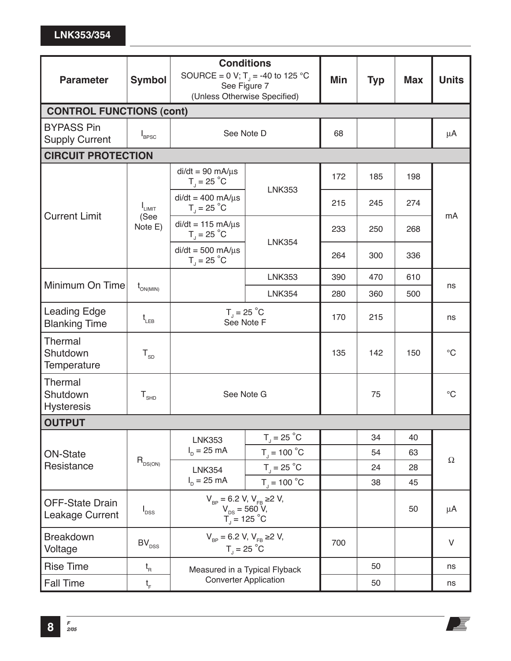| <b>Parameter</b>                            | <b>Symbol</b>                           | <b>Conditions</b><br>SOURCE = 0 V; T <sub>1</sub> = -40 to 125 °C<br>See Figure 7<br>(Unless Otherwise Specified) |                                   | Min | <b>Typ</b> | <b>Max</b> | <b>Units</b>    |  |
|---------------------------------------------|-----------------------------------------|-------------------------------------------------------------------------------------------------------------------|-----------------------------------|-----|------------|------------|-----------------|--|
| <b>CONTROL FUNCTIONS (cont)</b>             |                                         |                                                                                                                   |                                   |     |            |            |                 |  |
| <b>BYPASS Pin</b><br><b>Supply Current</b>  | $I_{\text{BPSC}}$                       | See Note D                                                                                                        |                                   | 68  |            |            | $\mu$ A         |  |
| <b>CIRCUIT PROTECTION</b>                   |                                         |                                                                                                                   |                                   |     |            |            |                 |  |
|                                             |                                         | $di/dt = 90$ mA/ $\mu$ s<br>$T_{J}$ = 25 °C                                                                       | <b>LNK353</b>                     | 172 | 185        | 198        |                 |  |
| <b>Current Limit</b>                        | $I_{LIMIT}$                             | $di/dt = 400$ mA/ $\mu$ s<br>$T_{\text{J}}$ = 25 °C                                                               |                                   | 215 | 245        | 274        |                 |  |
|                                             | (See<br>Note E)                         | $di/dt = 115$ mA/ $\mu$ s<br>$T_{\text{J}}$ = 25 °C                                                               |                                   | 233 | 250        | 268        | mA              |  |
|                                             |                                         | $di/dt = 500$ mA/ $\mu$ s<br>$T_{\text{J}}$ = 25 $^{\circ}$ C                                                     | <b>LNK354</b>                     | 264 | 300        | 336        |                 |  |
|                                             |                                         |                                                                                                                   | <b>LNK353</b>                     | 390 | 470        | 610        |                 |  |
| Minimum On Time                             | $t_{_{\text{ON(MIN)}}}$                 |                                                                                                                   | <b>LNK354</b>                     | 280 | 360        | 500        | ns              |  |
| <b>Leading Edge</b><br><b>Blanking Time</b> | $t_{LEB}$                               | $T_{\text{J}}$ = 25 $^{\circ}$ C<br>See Note F                                                                    |                                   | 170 | 215        |            | ns              |  |
| Thermal<br>Shutdown<br>Temperature          | $T_{SD}$                                |                                                                                                                   |                                   | 135 | 142        | 150        | $\rm ^{\circ}C$ |  |
| Thermal<br>Shutdown<br><b>Hysteresis</b>    | ${\tt T}_{\scriptscriptstyle{\sf SHD}}$ | See Note G                                                                                                        |                                   |     | 75         |            | $\rm ^{\circ}C$ |  |
| <b>OUTPUT</b>                               |                                         |                                                                                                                   |                                   |     |            |            |                 |  |
|                                             | $R_{DS(ON)}$                            | <b>LNK353</b>                                                                                                     | $T_{\text{J}}$ = 25 $^{\circ}$ C  |     | 34         | 40         |                 |  |
| <b>ON-State</b><br>Resistance               |                                         | $I_p = 25$ mA                                                                                                     | $T_{\text{J}}$ = 100 $^{\circ}$ C |     | 54         | 63         | $\Omega$        |  |
|                                             |                                         | <b>LNK354</b>                                                                                                     | $T_{\text{J}}$ = 25 $^{\circ}$ C  |     | 24         | 28         |                 |  |
|                                             |                                         | $I_p = 25 \text{ mA}$                                                                                             | $T_{\text{J}}$ = 100 $^{\circ}$ C |     | 38         | 45         |                 |  |
| <b>OFF-State Drain</b><br>Leakage Current   | $I_{DSS}$                               | $V_{\rm ap}$ = 6.2 V, $V_{\rm FB}$ ≥2 V,<br>$V_{DS} = 560 V,$<br>$T_1 = 125 °C$                                   |                                   |     |            | 50         | $\mu$ A         |  |
| <b>Breakdown</b><br>Voltage                 | $\mathsf{BV}_\mathsf{DSS}$              | $V_{\text{RP}} = 6.2 V, V_{\text{ER}} \ge 2 V,$<br>$T_{\rm J}$ = 25 °C                                            |                                   | 700 |            |            | $\vee$          |  |
| <b>Rise Time</b>                            | $t_{\rm R}$                             | Measured in a Typical Flyback                                                                                     |                                   |     | 50         |            | ns              |  |
| <b>Fall Time</b>                            | $t_{\scriptscriptstyle\rm F}$           | <b>Converter Application</b>                                                                                      |                                   |     | 50         |            | ns              |  |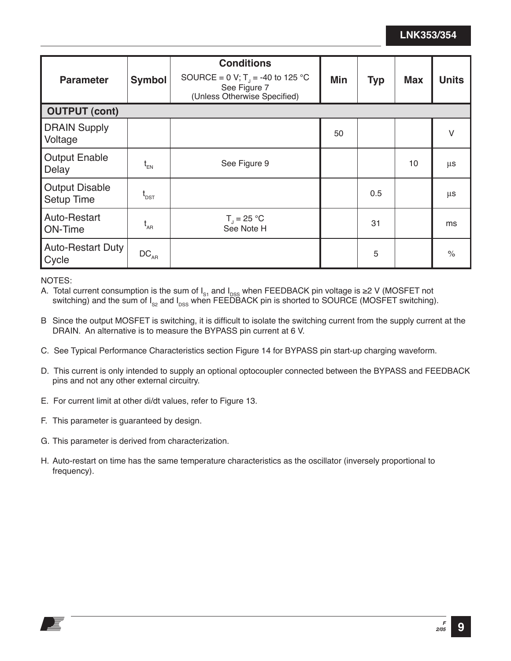| <b>Parameter</b>                           | <b>Symbol</b>                 | <b>Conditions</b><br>SOURCE = 0 V; T <sub>1</sub> = -40 to 125 °C<br>See Figure 7<br>(Unless Otherwise Specified) | Min | <b>Typ</b> | <b>Max</b> | <b>Units</b> |
|--------------------------------------------|-------------------------------|-------------------------------------------------------------------------------------------------------------------|-----|------------|------------|--------------|
| <b>OUTPUT (cont)</b>                       |                               |                                                                                                                   |     |            |            |              |
| <b>DRAIN Supply</b><br>Voltage             |                               |                                                                                                                   | 50  |            |            | $\vee$       |
| <b>Output Enable</b><br>Delay              | $t_{EN}$                      | See Figure 9                                                                                                      |     |            | 10         | μs           |
| <b>Output Disable</b><br><b>Setup Time</b> | $\mathfrak{t}_{\texttt{DST}}$ |                                                                                                                   |     | 0.5        |            | μs           |
| Auto-Restart<br>ON-Time                    | $t_{\rm AR}$                  | $T_{\rm J} = 25 \,^{\circ}\text{C}$<br>See Note H                                                                 |     | 31         |            | ms           |
| <b>Auto-Restart Duty</b><br>Cycle          | $DC_{AR}$                     |                                                                                                                   |     | 5          |            | $\%$         |

NOTES:

A. Total current consumption is the sum of  $I_{\rm s1}$  and  $I_{\rm DSS}$  when FEEDBACK pin voltage is ≥2 V (MOSFET not switching) and the sum of I<sub>s2</sub> and I<sub>DSS</sub> when FEEDBACK pin is shorted to SOURCE (MOSFET switching).

- B Since the output MOSFET is switching, it is difficult to isolate the switching current from the supply current at the DRAIN. An alternative is to measure the BYPASS pin current at 6 V.
- C. See Typical Performance Characteristics section Figure 14 for BYPASS pin start-up charging waveform.
- D. This current is only intended to supply an optional optocoupler connected between the BYPASS and FEEDBACK pins and not any other external circuitry.
- E. For current limit at other di/dt values, refer to Figure 13.
- F. This parameter is guaranteed by design.
- G. This parameter is derived from characterization.
- H. Auto-restart on time has the same temperature characteristics as the oscillator (inversely proportional to frequency).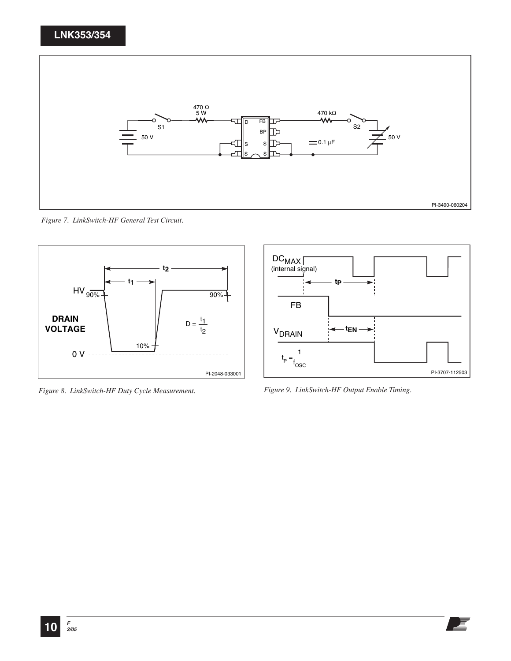

*Figure 7. LinkSwitch-HF General Test Circuit.* 



*Figure 8. LinkSwitch-HF Duty Cycle Measurement. Figure 9. LinkSwitch-HF Output Enable Timing.* 

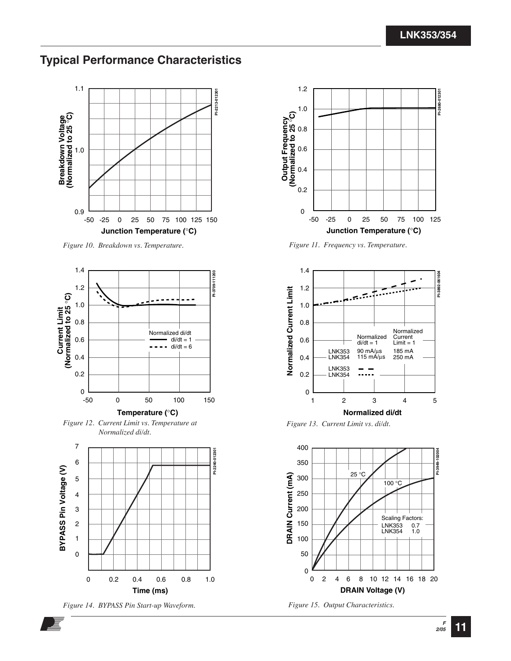## **Typical Performance Characteristics**



*Figure 10. Breakdown vs. Temperature.* 



*Figure 12. Current Limit vs. Temperature at Normalized di/dt.*



*Figure 14. BYPASS Pin Start-up Waveform.* 



*Figure 11. Frequency vs. Temperature.* 



*Figure 13. Current Limit vs. di/dt.*





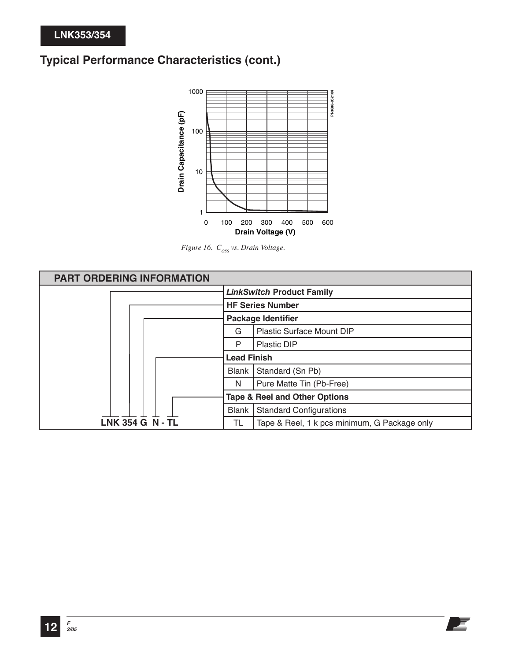# **Typical Performance Characteristics (cont.)**



*Figure 16.*  $C_{\text{oss}}$  vs. Drain Voltage.

| <b>PART ORDERING INFORMATION</b> |                                  |                                              |  |
|----------------------------------|----------------------------------|----------------------------------------------|--|
|                                  | <b>LinkSwitch Product Family</b> |                                              |  |
|                                  | <b>HF Series Number</b>          |                                              |  |
|                                  | <b>Package Identifier</b>        |                                              |  |
|                                  | G                                | <b>Plastic Surface Mount DIP</b>             |  |
|                                  | P                                | <b>Plastic DIP</b>                           |  |
|                                  | <b>Lead Finish</b>               |                                              |  |
|                                  | Blank                            | Standard (Sn Pb)                             |  |
|                                  | N                                | Pure Matte Tin (Pb-Free)                     |  |
|                                  |                                  | <b>Tape &amp; Reel and Other Options</b>     |  |
|                                  | Blank                            | <b>Standard Configurations</b>               |  |
| <b>LNK 354 G N - TL</b>          | TL                               | Tape & Reel, 1 k pcs minimum, G Package only |  |

上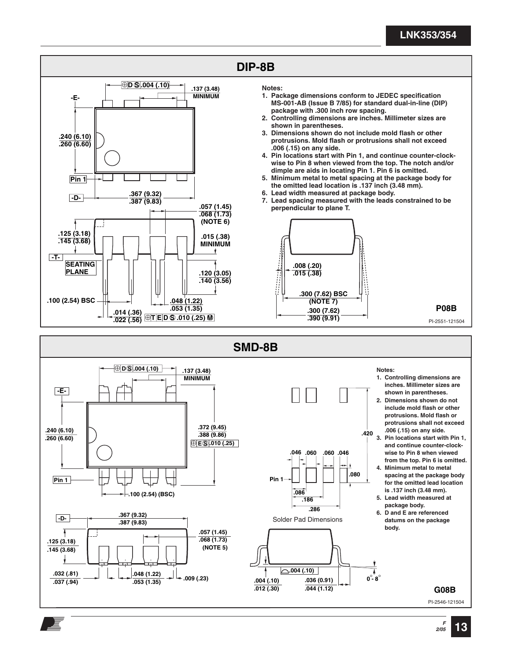

#### **G08B**

PI-2546-121504

**2/05 13**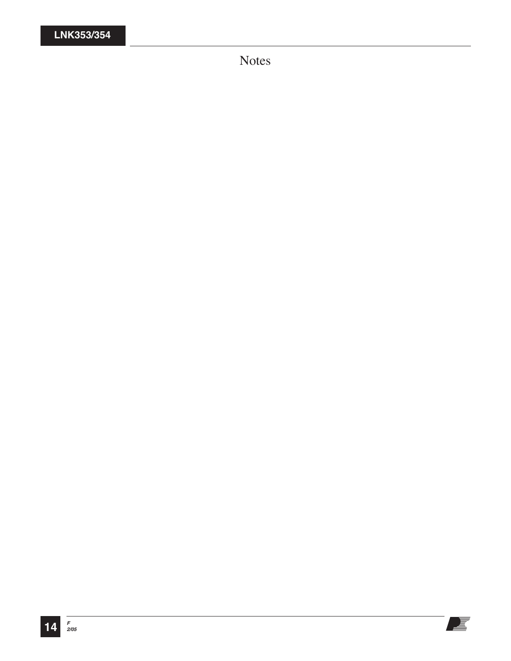Notes

E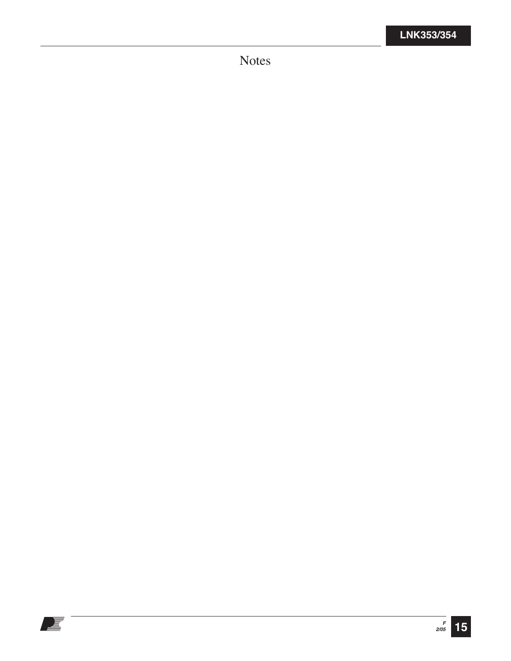Notes

E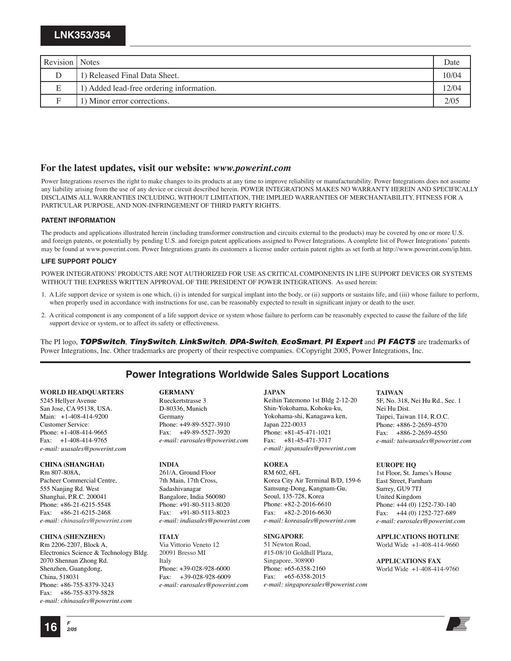| Revision Notes |                                          | Date  |
|----------------|------------------------------------------|-------|
|                | 1) Released Final Data Sheet.            | 10/04 |
| Е              | 1) Added lead-free ordering information. | 2/04  |
|                | 1) Minor error corrections.              | 2/05  |

#### **For the latest updates, visit our website:** *www.powerint.com*

Power Integrations reserves the right to make changes to its products at any time to improve reliability or manufacturability. Power Integrations does not assume any liability arising from the use of any device or circuit described herein. POWER INTEGRATIONS MAKES NO WARRANTY HEREIN AND SPECIFICALLY DISCLAIMS ALL WARRANTIES INCLUDING, WITHOUT LIMITATION, THE IMPLIED WARRANTIES OF MERCHANTABILITY, FITNESS FOR A PARTICULAR PURPOSE, AND NON-INFRINGEMENT OF THIRD PARTY RIGHTS.

#### **PATENT INFORMATION**

The products and applications illustrated herein (including transformer construction and circuits external to the products) may be covered by one or more U.S. and foreign patents, or potentially by pending U.S. and foreign patent applications assigned to Power Integrations. A complete list of Power Integrations' patents may be found at www.powerint.com. Power Integrations grants its customers a license under certain patent rights as set forth at http://www.powerint.com/ip.htm.

#### **LIFE SUPPORT POLICY**

POWER INTEGRATIONS' PRODUCTS ARE NOT AUTHORIZED FOR USE AS CRITICAL COMPONENTS IN LIFE SUPPORT DEVICES OR SYSTEMS WITHOUT THE EXPRESS WRITTEN APPROVAL OF THE PRESIDENT OF POWER INTEGRATIONS. As used herein:

- 1. A Life support device or system is one which, (i) is intended for surgical implant into the body, or (ii) supports or sustains life, and (iii) whose failure to perform, when properly used in accordance with instructions for use, can be reasonably expected to result in significant injury or death to the user.
- 2. A critical component is any component of a life support device or system whose failure to perform can be reasonably expected to cause the failure of the life support device or system, or to affect its safety or effectiveness.

The PI logo, TOPSwitch, TinySwitch, LinkSwitch, DPA-Switch, EcoSmart, PI Expert and PI FACTS are trademarks of Power Integrations, Inc. Other trademarks are property of their respective companies. ©Copyright 2005, Power Integrations, Inc.

#### **Power Integrations Worldwide Sales Support Locations**

#### **WORLD HEADQUARTERS**

5245 Hellyer Avenue San Jose, CA 95138, USA. Main: +1-408-414-9200 Customer Service: Phone: +1-408-414-9665 Fax: +1-408-414-9765 *e-mail: usasales@powerint.com*

#### **CHINA (SHANGHAI)**

Rm 807-808A, Pacheer Commercial Centre, 555 Nanjing Rd. West Shanghai, P.R.C. 200041 Phone: +86-21-6215-5548 Fax: +86-21-6215-2468 *e-mail: chinasales@powerint.com*

#### **CHINA (SHENZHEN)**

Rm 2206-2207, Block A, Electronics Science & Technology Bldg. 2070 Shennan Zhong Rd. Shenzhen, Guangdong, China, 518031 Phone: +86-755-8379-3243 Fax: +86-755-8379-5828 *e-mail: chinasales@powerint.com*

#### **GERMANY**

Rueckertstrasse 3 D-80336, Munich Germany Phone: +49-89-5527-3910 Fax: +49-89-5527-3920 *e-mail: eurosales@powerint.com*

#### **INDIA**

261/A, Ground Floor 7th Main, 17th Cross, Sadashivanagar Bangalore, India 560080 Phone: +91-80-5113-8020 Fax: +91-80-5113-8023 *e-mail: indiasales@powerint.com*

#### **ITALY**

Via Vittorio Veneto 12 20091 Bresso MI Italy Phone: +39-028-928-6000 Fax: *+*39-028-928-6009 *e-mail: eurosales@powerint.com*

#### **JAPAN**

Keihin Tatemono 1st Bldg 2-12-20 Shin-Yokohama, Kohoku-ku, Yokohama-shi, Kanagawa ken, Japan 222-0033 Phone: +81-45-471-1021 Fax: +81-45-471-3717 *e-mail: japansales@powerint.com*

#### **KOREA**

RM 602, 6FL Korea City Air Terminal B/D, 159-6 Samsung-Dong, Kangnam-Gu, Seoul, 135-728, Korea Phone: +82-2-2016-6610 Fax: +82-2-2016-6630 *e-mail: koreasales@powerint.com*

#### **SINGAPORE**

51 Newton Road, #15-08/10 Goldhill Plaza, Singapore, 308900 Phone: +65-6358-2160 Fax: +65-6358-2015 *e-mail: singaporesales@powerint.com*

#### **TAIWAN**

5F, No. 318, Nei Hu Rd., Sec. 1 Nei Hu Dist. Taipei, Taiwan 114, R.O.C. Phone: +886-2-2659-4570 Fax: +886-2-2659-4550 *e-mail: taiwansales@powerint.com*

#### **EUROPE HQ**

1st Floor, St. James's House East Street, Farnham Surrey, GU9 7TJ United Kingdom Phone: +44 (0) 1252-730-140 Fax: +44 (0) 1252-727-689 *e-mail: eurosales@powerint.com*

#### **APPLICATIONS HOTLINE**

World Wide +1-408-414-9660

**APPLICATIONS FAX** World Wide +1-408-414-9760